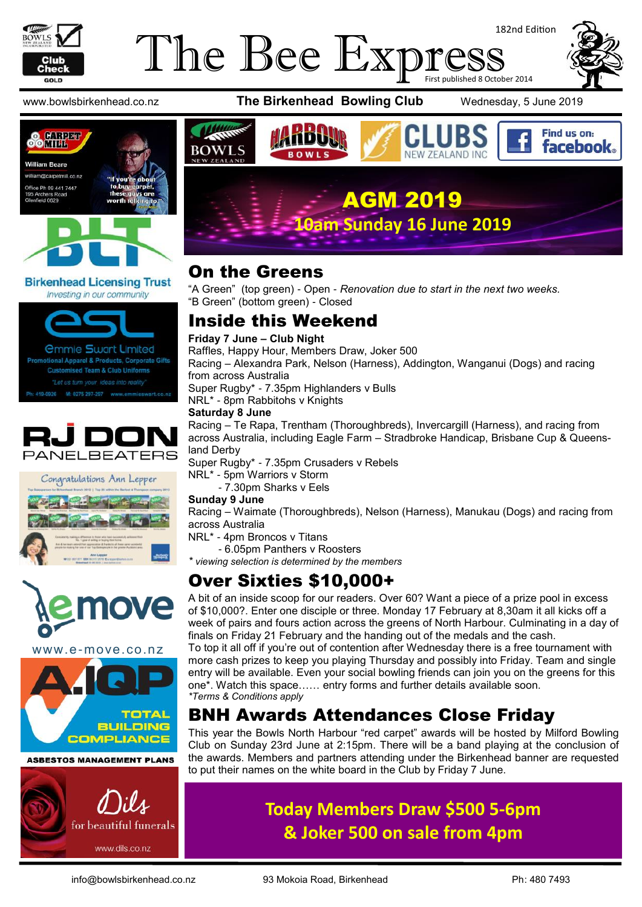

#### The Bee Expi 182nd Edition First published 8 October 2014



Find us on:

www.bowlsbirkenhead.co.nz **The Birkenhead Bowling Club** Wednesday, 5 June 2019





#### **Birkenhead Licensing Trust** Investing in our community

*<u>Ommie Swart Limited</u>* otional Apparel & Products, Corporate Gifts **Customised Team & Club Uniforms** "Let us turn your ideas into reality" M: 0275 297-297 www.emmieswart.co.na 419-0926







www.e-move.co.nz



#### **ASBESTOS MANAGEMENT PLANS**





#### On the Greens

"A Green" (top green) - Open - *Renovation due to start in the next two weeks.* "B Green" (bottom green) - Closed

#### Inside this Weekend

#### **Friday 7 June – Club Night**

Raffles, Happy Hour, Members Draw, Joker 500

Racing – Alexandra Park, Nelson (Harness), Addington, Wanganui (Dogs) and racing from across Australia

Super Rugby\* - 7.35pm Highlanders v Bulls

NRL\* - 8pm Rabbitohs v Knights

#### **Saturday 8 June**

Racing – Te Rapa, Trentham (Thoroughbreds), Invercargill (Harness), and racing from across Australia, including Eagle Farm – Stradbroke Handicap, Brisbane Cup & Queensland Derby

Super Rugby\* - 7.35pm Crusaders v Rebels

NRL\* - 5pm Warriors v Storm

- 7.30pm Sharks v Eels

#### **Sunday 9 June**

Racing – Waimate (Thoroughbreds), Nelson (Harness), Manukau (Dogs) and racing from across Australia

NRL\* - 4pm Broncos v Titans

- 6.05pm Panthers v Roosters

*viewing selection is determined by the members* 

### Over Sixties \$10,000+

A bit of an inside scoop for our readers. Over 60? Want a piece of a prize pool in excess of \$10,000?. Enter one disciple or three. Monday 17 February at 8,30am it all kicks off a week of pairs and fours action across the greens of North Harbour. Culminating in a day of finals on Friday 21 February and the handing out of the medals and the cash.

To top it all off if you're out of contention after Wednesday there is a free tournament with more cash prizes to keep you playing Thursday and possibly into Friday. Team and single entry will be available. Even your social bowling friends can join you on the greens for this one\*. Watch this space…… entry forms and further details available soon. *\*Terms & Conditions apply*

## BNH Awards Attendances Close Friday

This year the Bowls North Harbour "red carpet" awards will be hosted by Milford Bowling Club on Sunday 23rd June at 2:15pm. There will be a band playing at the conclusion of the awards. Members and partners attending under the Birkenhead banner are requested to put their names on the white board in the Club by Friday 7 June.

## **Today Members Draw \$500 5-6pm & Joker 500 on sale from 4pm**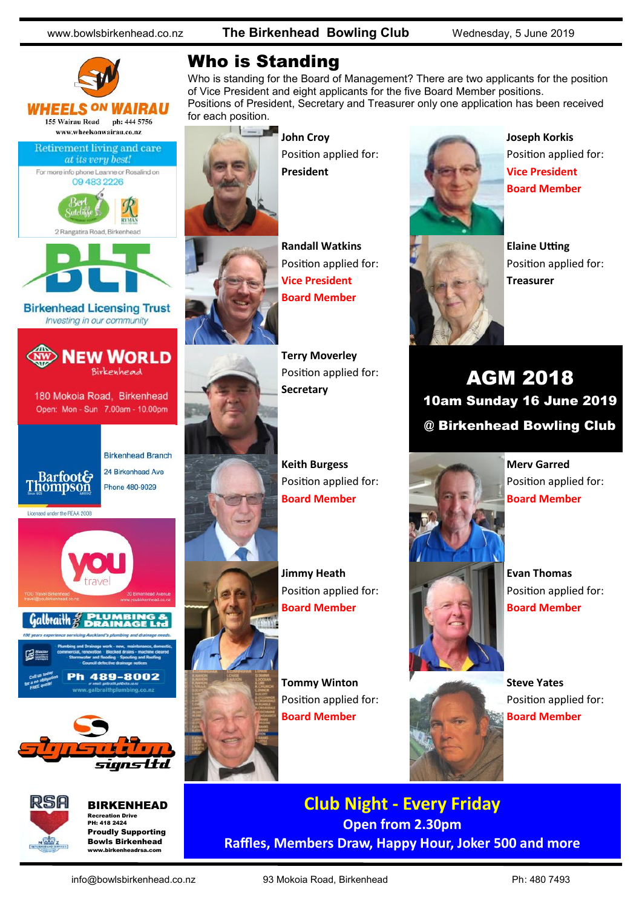www.bowlsbirkenhead.co.nz **The Birkenhead Bowling Club** Wednesday, 5 June 2019





BIRKENHEAD Recreation Drive PH: 418 2424 Proudly Supporting Bowls Birkenhead

### Who is Standing

Who is standing for the Board of Management? There are two applicants for the position of Vice President and eight applicants for the five Board Member positions. Positions of President, Secretary and Treasurer only one application has been received for each position.



**John Croy** Position applied for: **President**



**Terry Moverley** Position applied for: **Secretary**



**Keith Burgess** Position applied for: **Board Member**

**Jimmy Heath** Position applied for: **Board Member**

**Tommy Winton** Position applied for: **Board Member**



**Joseph Korkis** Position applied for: **Vice President Board Member**



**Elaine Utting** Position applied for: **Treasurer**

AGM 2018 10am Sunday 16 June 2019 @ Birkenhead Bowling Club



**Merv Garred** Position applied for: **Board Member**

**Evan Thomas** Position applied for: **Board Member**



**Steve Yates** Position applied for: **Board Member**

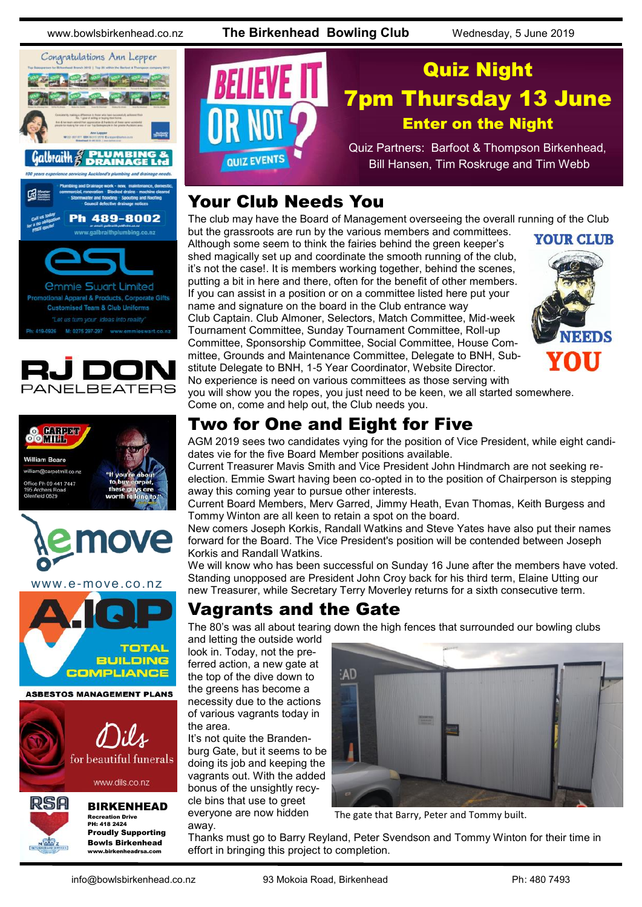www.bowlsbirkenhead.co.nz **The Birkenhead Bowling Club** Wednesday, 5 June 2019











www.e-move.co.nz





www.dils.co.nz



BIRKENHEAD Recreation Drive PH: 418 2424 Proudly Supporting Bowls Birkenhead www.birkenheadrsa.com



### Your Club Needs You

The club may have the Board of Management overseeing the overall running of the Club but the grassroots are run by the various members and committees.

Although some seem to think the fairies behind the green keeper's shed magically set up and coordinate the smooth running of the club, it's not the case!. It is members working together, behind the scenes, putting a bit in here and there, often for the benefit of other members. If you can assist in a position or on a committee listed here put your name and signature on the board in the Club entrance way Club Captain. Club Almoner, Selectors, Match Committee, Mid-week Tournament Committee, Sunday Tournament Committee, Roll-up Committee, Sponsorship Committee, Social Committee, House Committee, Grounds and Maintenance Committee, Delegate to BNH, Substitute Delegate to BNH, 1-5 Year Coordinator, Website Director.



No experience is need on various committees as those serving with you will show you the ropes, you just need to be keen, we all started somewhere. Come on, come and help out, the Club needs you.

#### Two for One and Eight for Five

AGM 2019 sees two candidates vying for the position of Vice President, while eight candidates vie for the five Board Member positions available.

Current Treasurer Mavis Smith and Vice President John Hindmarch are not seeking reelection. Emmie Swart having been co-opted in to the position of Chairperson is stepping away this coming year to pursue other interests.

Current Board Members, Merv Garred, Jimmy Heath, Evan Thomas, Keith Burgess and Tommy Winton are all keen to retain a spot on the board.

New comers Joseph Korkis, Randall Watkins and Steve Yates have also put their names forward for the Board. The Vice President's position will be contended between Joseph Korkis and Randall Watkins.

We will know who has been successful on Sunday 16 June after the members have voted. Standing unopposed are President John Croy back for his third term, Elaine Utting our new Treasurer, while Secretary Terry Moverley returns for a sixth consecutive term.

#### Vagrants and the Gate

The 80's was all about tearing down the high fences that surrounded our bowling clubs

and letting the outside world look in. Today, not the preferred action, a new gate at the top of the dive down to the greens has become a necessity due to the actions of various vagrants today in the area.

It's not quite the Brandenburg Gate, but it seems to be doing its job and keeping the vagrants out. With the added bonus of the unsightly recycle bins that use to greet everyone are now hidden away.



The gate that Barry, Peter and Tommy built.

Thanks must go to Barry Reyland, Peter Svendson and Tommy Winton for their time in effort in bringing this project to completion.